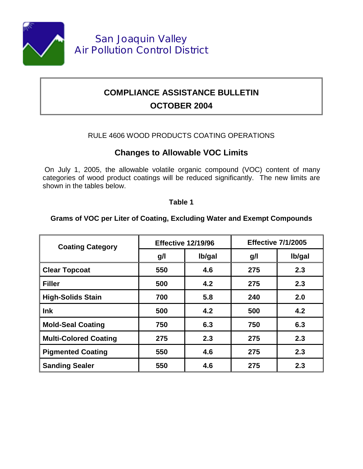

# **COMPLIANCE ASSISTANCE BULLETIN OCTOBER 2004**

### RULE 4606 WOOD PRODUCTS COATING OPERATIONS

## **Changes to Allowable VOC Limits**

 On July 1, 2005, the allowable volatile organic compound (VOC) content of many categories of wood product coatings will be reduced significantly. The new limits are shown in the tables below.

#### **Table 1**

#### **Grams of VOC per Liter of Coating, Excluding Water and Exempt Compounds**

| <b>Coating Category</b>      | <b>Effective 12/19/96</b> |        | <b>Effective 7/1/2005</b> |        |
|------------------------------|---------------------------|--------|---------------------------|--------|
|                              | g/l                       | lb/gal | g/l                       | lb/gal |
| <b>Clear Topcoat</b>         | 550                       | 4.6    | 275                       | 2.3    |
| <b>Filler</b>                | 500                       | 4.2    | 275                       | 2.3    |
| <b>High-Solids Stain</b>     | 700                       | 5.8    | 240                       | 2.0    |
| Ink                          | 500                       | 4.2    | 500                       | 4.2    |
| <b>Mold-Seal Coating</b>     | 750                       | 6.3    | 750                       | 6.3    |
| <b>Multi-Colored Coating</b> | 275                       | 2.3    | 275                       | 2.3    |
| <b>Pigmented Coating</b>     | 550                       | 4.6    | 275                       | 2.3    |
| <b>Sanding Sealer</b>        | 550                       | 4.6    | 275                       | 2.3    |